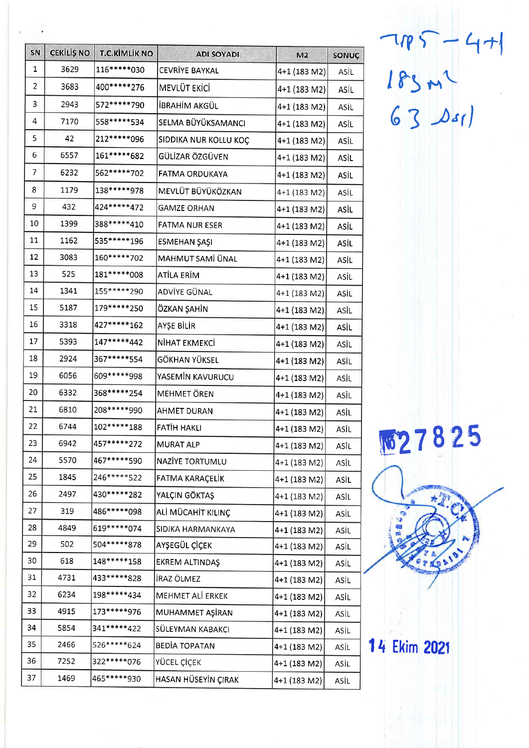| SN           | ÇEKİLİŞ NO | <b>T.C.KİMLİK NO</b> | <b>ADI SOYADI</b>     | M <sub>2</sub> | SONUÇ |
|--------------|------------|----------------------|-----------------------|----------------|-------|
| $\mathbf{1}$ | 3629       | 116*****030          | CEVRİYE BAYKAL        | 4+1 (183 M2)   | ASİL  |
| 2            | 3683       | 400******276         | MEVLÜT EKİCİ          | 4+1 (183 M2)   | ASIL  |
| 3            | 2943       | 572*****790          | İBRAHİM AKGÜL         | 4+1 (183 M2)   | ASİL  |
| 4            | 7170       | 558*****534          | SELMA BÜYÜKSAMANCI    | 4+1 (183 M2)   | ASİL  |
| 5            | 42         | 212 ***** 096        | SIDDIKA NUR KOLLU KOÇ | 4+1 (183 M2)   | ASİL  |
| 6            | 6557       | 161*****682          | GÜLİZAR ÖZGÜVEN       | 4+1 (183 M2)   | ASIL  |
| 7            | 6232       | 562******702         | <b>FATMA ORDUKAYA</b> | 4+1 (183 M2)   | ASİL  |
| 8            | 1179       | 138*****978          | MEVLÜT BÜYÜKÖZKAN     | 4+1 (183 M2)   | ASİL  |
| 9            | 432        | 424 ***** 472        | <b>GAMZE ORHAN</b>    | 4+1 (183 M2)   | ASIL  |
| 10           | 1399       | 388*****410          | FATMA NUR ESER        | 4+1 (183 M2)   | ASİL  |
| 11           | 1162       | 535******196         | ESMEHAN ŞAŞI          | 4+1 (183 M2)   | ASİL  |
| 12           | 3083       | 160*****702          | MAHMUT SAMİ ÜNAL      | 4+1 (183 M2)   | ASIL  |
| 13           | 525        | 181******008         | ATİLA ERİM            | 4+1 (183 M2)   | ASİL  |
| 14           | 1341       | 155*****290          | ADVİYE GÜNAL          | 4+1 (183 M2)   | ASIL  |
| 15           | 5187       | 179*****250          | ÖZKAN ŞAHİN           | 4+1 (183 M2)   | ASİL  |
| 16           | 3318       | 427*****162          | AYŞE BİLİR            | 4+1 (183 M2)   | ASIL  |
| 17           | 5393       | 147*****442          | NİHAT EKMEKCİ         | 4+1 (183 M2)   | ASİL  |
| 18           | 2924       | 367*****554          | GÖKHAN YÜKSEL         | 4+1 (183 M2)   | ASİL  |
| 19           | 6056       | 609*****998          | YASEMİN KAVURUCU      | 4+1 (183 M2)   | ASİL  |
| 20           | 6332       | 368******254         | MEHMET ÖREN           | 4+1 (183 M2)   | ASİL  |
| 21           | 6810       | 208*****990          | <b>AHMET DURAN</b>    | 4+1 (183 M2)   | ASİL  |
| 22           | 6744       | 102******188         | FATIH HAKLI           | 4+1 (183 M2)   | ASİL  |
| 23           | 6942       | 457*****272          | MURAT ALP             | 4+1 (183 M2)   | ASİL  |
| 24           | 5570       | 467*****590          | NAZIYE TORTUMLU       | 4+1 (183 M2)   | ASİL  |
| 25           | 1845       | 246*****522          | FATMA KARAÇELİK       | 4+1 (183 M2)   | ASİL  |
| 26           | 2497       | 430*****282          | YALÇIN GÖKTAŞ         | 4+1 (183 M2)   | ASİL  |
| 27           | 319        | 486*****098          | ALİ MÜCAHİT KILINÇ    | 4+1 (183 M2)   | ASİL  |
| 28           | 4849       | 619******074         | SIDIKA HARMANKAYA     | 4+1 (183 M2)   | ASİL  |
| 29           | 502        | 504******878         | AYŞEGÜL ÇİÇEK         | 4+1 (183 M2)   | ASİL  |
| 30           | 618        | 148*****158          | EKREM ALTINDAŞ        | 4+1 (183 M2)   | ASİL  |
| 31           | 4731       | 433*****828          | İRAZ ÖLMEZ            | 4+1 (183 M2)   | ASİL  |
| 32           | 6234       | 198*****434          | MEHMET ALİ ERKEK      | 4+1 (183 M2)   | ASİL  |
| 33           | 4915       | 173*****976          | MUHAMMET AŞİRAN       | 4+1 (183 M2)   | ASİL  |
| 34           | 5854       | 341*****422          | SÜLEYMAN KABAKCI      | 4+1 (183 M2)   | ASİL  |
| 35           | 2466       | 526*****624          | <b>BEDIA TOPATAN</b>  | 4+1 (183 M2)   | ASİL  |
| 36           | 7252       | 322 ***** 076        | YÜCEL ÇİÇEK           | 4+1 (183 M2)   | ASİL  |
| 37           | 1469       | 465*****930          | HASAN HÜSEYİN ÇIRAK   | 4+1 (183 M2)   | ASİL  |

 $7185 - 471$ <br>  $183 m<sup>2</sup>$ <br>
63  $\Delta$ s1)

图27825

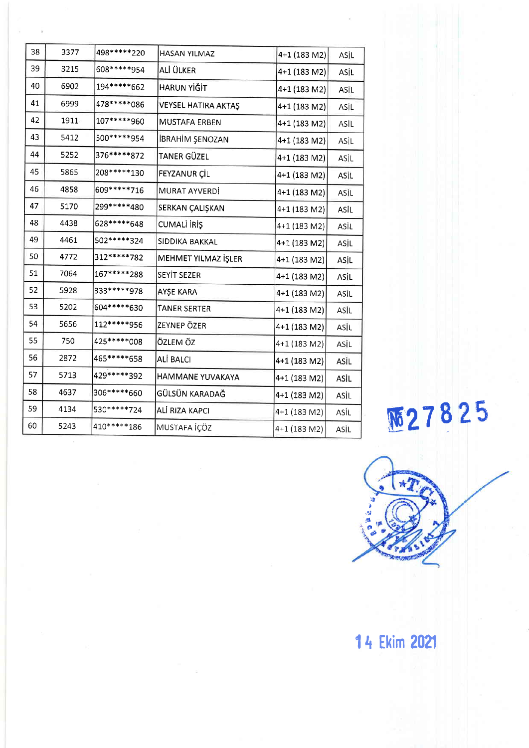| 38 | 3377 | 498 ***** 220   | HASAN YILMAZ           | 4+1 (183 M2) | ASİL |
|----|------|-----------------|------------------------|--------------|------|
| 39 | 3215 | 608*****954     | ALİ ÜLKER              | 4+1 (183 M2) | ASİL |
| 40 | 6902 | 194*****662     | HARUN YİĞİT            | 4+1 (183 M2) | ASİL |
| 41 | 6999 | 478******086    | VEYSEL HATIRA AKTAŞ    | 4+1 (183 M2) | ASÍL |
| 42 | 1911 | 107*****960     | <b>MUSTAFA ERBEN</b>   | 4+1 (183 M2) | ASİL |
| 43 | 5412 | 500 ***** 954   | <b>İBRAHİM ŞENOZAN</b> | 4+1 (183 M2) | ASİL |
| 44 | 5252 | 376*****872     | TANER GÜZEL            | 4+1 (183 M2) | ASİL |
| 45 | 5865 | 208******130    | FEYZANUR ÇİL           | 4+1 (183 M2) | ASİL |
| 46 | 4858 | 609 ***** * 716 | MURAT AYVERDİ          | 4+1 (183 M2) | ASİL |
| 47 | 5170 | 299*****480     | SERKAN ÇALIŞKAN        | 4+1 (183 M2) | ASİL |
| 48 | 4438 | 628*****648     | CUMALI IRIŞ            | 4+1 (183 M2) | ASİL |
| 49 | 4461 | 502*****324     | SIDDIKA BAKKAL         | 4+1 (183 M2) | ASİL |
| 50 | 4772 | 312*****782     | MEHMET YILMAZ İŞLER    | 4+1 (183 M2) | ASİL |
| 51 | 7064 | 167******288    | SEYİT SEZER            | 4+1 (183 M2) | ASIL |
| 52 | 5928 | 333*****978     | AYŞE KARA              | 4+1 (183 M2) | ASİL |
| 53 | 5202 | 604 ***** 630   | <b>TANER SERTER</b>    | 4+1 (183 M2) | ASİL |
| 54 | 5656 | 112*****956     | ZEYNEP ÖZER            | 4+1 (183 M2) | ASIL |
| 55 | 750  | 425 ***** * 008 | ÖZLEM ÖZ               | 4+1 (183 M2) | ASİL |
| 56 | 2872 | 465*****658     | <b>ALİ BALCI</b>       | 4+1 (183 M2) | ASİL |
| 57 | 5713 | 429 ***** 392   | HAMMANE YUVAKAYA       | 4+1 (183 M2) | ASİL |
| 58 | 4637 | 306*****660     | GÜLSÜN KARADAĞ         | 4+1 (183 M2) | ASİL |
| 59 | 4134 | 530*****724     | ALİ RIZA KAPCI         | 4+1 (183 M2) | ASĪL |
| 60 | 5243 | 410******186    | MUSTAFA İÇÖZ           | 4+1 (183 M2) | ASÌL |

**M27825** 

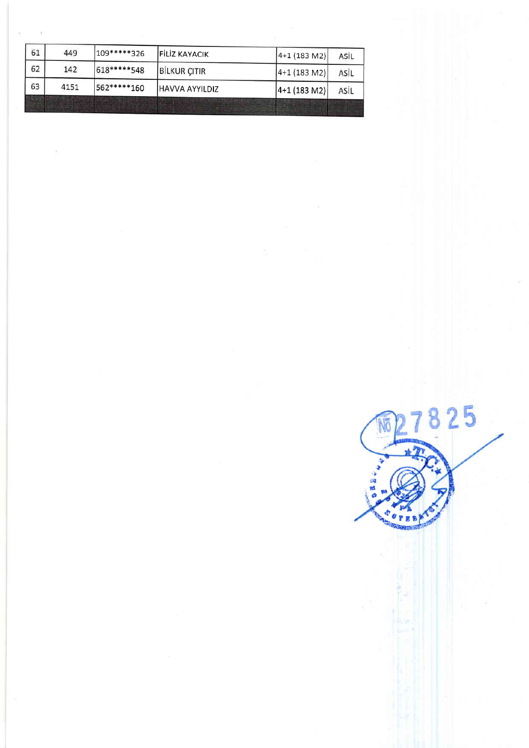| 63 | 4151 | 562*****160 | HAVVA AYYILDIZ       | $ 4+1(183 M2) $ | ASİL |
|----|------|-------------|----------------------|-----------------|------|
| 62 | 142  | 618*****548 | <b>BILKUR CITIR</b>  | $ 4+1(183 M2) $ | ASİL |
| 61 | 449  | 109*****326 | <b>FILIZ KAYACIK</b> | $ 4+1(183 M2) $ | ASİL |

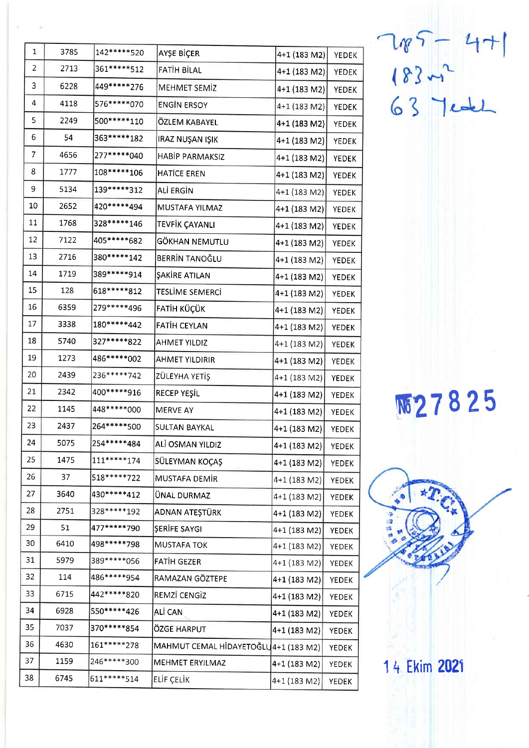| $\mathbf 1$ | 3785 | 142*****520   | AYŞE BİÇER                           | 4+1 (183 M2)   | <b>YEDEK</b> |
|-------------|------|---------------|--------------------------------------|----------------|--------------|
| 2           | 2713 | 361******512  | FATIH BILAL                          | 4+1 (183 M2)   | YEDEK        |
| 3           | 6228 | 449 ***** 276 | MEHMET SEMİZ                         | 4+1 (183 M2)   | <b>YEDEK</b> |
| 4           | 4118 | 576*****070   | <b>ENGIN ERSOY</b>                   | 4+1 (183 M2)   | <b>YEDEK</b> |
| 5           | 2249 | 500 ***** 110 | ÖZLEM KABAYEL                        | 4+1 (183 M2)   | <b>YEDEK</b> |
| 6           | 54   | 363******182  | IRAZ NUŞAN IŞIK                      | 4+1 (183 M2)   | <b>YEDEK</b> |
| 7           | 4656 | 277*****040   | HABIP PARMAKSIZ                      | 4+1 (183 M2)   | YEDEK        |
| 8           | 1777 | 108******106  | <b>HATICE EREN</b>                   | 4+1 (183 M2)   | <b>YEDEK</b> |
| 9           | 5134 | 139*****312   | ALİ ERGİN                            | 4+1 (183 M2)   | YEDEK        |
| 10          | 2652 | 420*****494   | MUSTAFA YILMAZ                       | $4+1$ (183 M2) | YEDEK        |
| 11          | 1768 | 328******146  | TEVFİK ÇAYANLI                       | 4+1 (183 M2)   | YEDEK        |
| 12          | 7122 | 405*****682   | GÖKHAN NEMUTLU                       | 4+1 (183 M2)   | YEDEK        |
| 13          | 2716 | 380******142  | BERRIN TANOĞLU                       | 4+1 (183 M2)   | YEDEK        |
| 14          | 1719 | 389*****914   | ŞAKİRE ATILAN                        | 4+1 (183 M2)   | <b>YEDEK</b> |
| 15          | 128  | 618*****812   | <b>TESLİME SEMERCİ</b>               | 4+1 (183 M2)   | <b>YEDEK</b> |
| 16          | 6359 | 279*****496   | FATİH KÜÇÜK                          | 4+1 (183 M2)   | YEDEK        |
| 17          | 3338 | 180*****442   | <b>FATIH CEYLAN</b>                  | 4+1 (183 M2)   | YEDEK        |
| 18          | 5740 | 327 ***** 822 | <b>AHMET YILDIZ</b>                  | 4+1 (183 M2)   | YEDEK        |
| 19          | 1273 | 486******002  | <b>AHMET YILDIRIR</b>                | 4+1 (183 M2)   | YEDEK        |
| 20          | 2439 | 236 ***** 742 | ZÜLEYHA YETİŞ                        | 4+1 (183 M2)   | <b>YEDEK</b> |
| 21          | 2342 | 400 ***** 916 | RECEP YEŞİL                          | 4+1 (183 M2)   | YEDEK        |
| 22          | 1145 | 448 ***** 000 | MERVE AY                             | 4+1 (183 M2)   | <b>YEDEK</b> |
| 23          | 2437 | 264******500  | SULTAN BAYKAL                        | 4+1 (183 M2)   | YEDEK        |
| 24          | 5075 | 254*****484   | ALİ OSMAN YILDIZ                     | 4+1 (183 M2)   | YEDEK        |
| 25          | 1475 | 111******174  | SÜLEYMAN KOÇAŞ                       | 4+1 (183 M2)   | YEDEK        |
| 26          | 37   | 518*****722   | MUSTAFA DEMIR                        | 4+1 (183 M2)   | YEDEK        |
| 27          | 3640 | 430*****412   | ÜNAL DURMAZ                          | 4+1 (183 M2)   | YEDEK        |
| 28          | 2751 | 328*****192   | ADNAN ATEŞTÜRK                       | 4+1 (183 M2)   | YEDEK        |
| 29          | 51   | 477*****790   | ŞERİFE SAYGI                         | 4+1 (183 M2)   | YEDEK        |
| 30          | 6410 | 498*****798   | <b>MUSTAFA TOK</b>                   | 4+1 (183 M2)   | YEDEK        |
| 31          | 5979 | 389 ***** 056 | FATIH GEZER                          | 4+1 (183 M2)   | <b>YEDEK</b> |
| 32          | 114  | 486*****954   | RAMAZAN GÖZTEPE                      | 4+1 (183 M2)   | YEDEK        |
| 33          | 6715 | 442*****820   | REMZİ CENGİZ                         | 4+1 (183 M2)   | YEDEK        |
| 34          | 6928 | 550 ***** 426 | ALİ CAN                              | 4+1 (183 M2)   | YEDEK        |
| 35          | 7037 | 370*****854   | ÖZGE HARPUT                          | 4+1 (183 M2)   | YEDEK        |
| 36          | 4630 | 161******278  | MAHMUT CEMAL HİDAYETOĞLU4+1 (183 M2) |                | YEDEK        |
| 37          | 1159 | 246*****300   | MEHMET ERYILMAZ                      | 4+1 (183 M2)   | YEDEK        |
| 38          | 6745 | 611******514  | ELİF ÇELİK                           | 4+1 (183 M2)   | <b>YEDEK</b> |
|             |      |               |                                      |                |              |

785-47<br>18322<br>63 7ede

**M27825**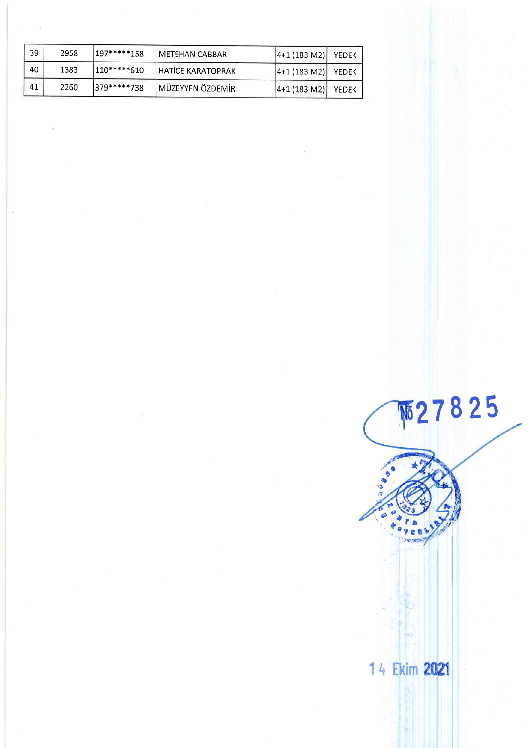| 39 | 2958 | $197****158$  | IMETEHAN CABBAR          | $ 4+1(183 M2) $ | YEDEK |
|----|------|---------------|--------------------------|-----------------|-------|
| 40 | 1383 | $ 110****610$ | <b>HATICE KARATOPRAK</b> | $ 4+1(183 M2) $ | YEDEK |
| 41 | 2260 | 1379*****738  | MÜZEYYEN ÖZDEMİR         | $ 4+1$ (183 M2) | YEDEK |

## **M27825** 14 Ekim 2021